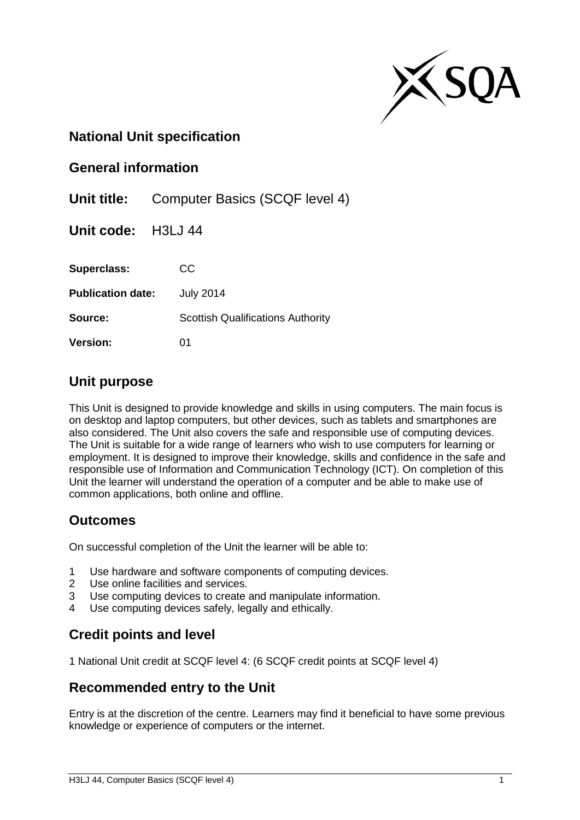

### **National Unit specification**

#### **General information**

**Unit title:** Computer Basics (SCQF level 4)

**Unit code:** H3LJ 44

**Superclass:** CC **Publication date:** July 2014 **Source:** Scottish Qualifications Authority

**Version:** 01

### **Unit purpose**

This Unit is designed to provide knowledge and skills in using computers. The main focus is on desktop and laptop computers, but other devices, such as tablets and smartphones are also considered. The Unit also covers the safe and responsible use of computing devices. The Unit is suitable for a wide range of learners who wish to use computers for learning or employment. It is designed to improve their knowledge, skills and confidence in the safe and responsible use of Information and Communication Technology (ICT). On completion of this Unit the learner will understand the operation of a computer and be able to make use of common applications, both online and offline.

## **Outcomes**

On successful completion of the Unit the learner will be able to:

- 1 Use hardware and software components of computing devices.
- 2 Use online facilities and services.
- 3 Use computing devices to create and manipulate information.
- Use computing devices safely, legally and ethically.

# **Credit points and level**

1 National Unit credit at SCQF level 4: (6 SCQF credit points at SCQF level 4)

## **Recommended entry to the Unit**

Entry is at the discretion of the centre. Learners may find it beneficial to have some previous knowledge or experience of computers or the internet.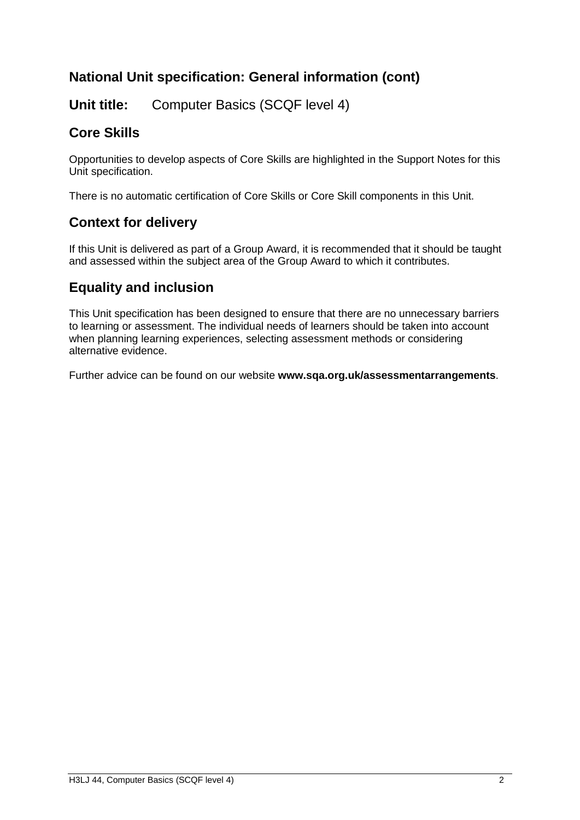# **National Unit specification: General information (cont)**

## **Unit title:** Computer Basics (SCQF level 4)

# **Core Skills**

Opportunities to develop aspects of Core Skills are highlighted in the Support Notes for this Unit specification.

There is no automatic certification of Core Skills or Core Skill components in this Unit.

## **Context for delivery**

If this Unit is delivered as part of a Group Award, it is recommended that it should be taught and assessed within the subject area of the Group Award to which it contributes.

## **Equality and inclusion**

This Unit specification has been designed to ensure that there are no unnecessary barriers to learning or assessment. The individual needs of learners should be taken into account when planning learning experiences, selecting assessment methods or considering alternative evidence.

Further advice can be found on our website **[www.sqa.org.uk/assessmentarrangements](http://www.sqa.org.uk/assessmentarrangements)**.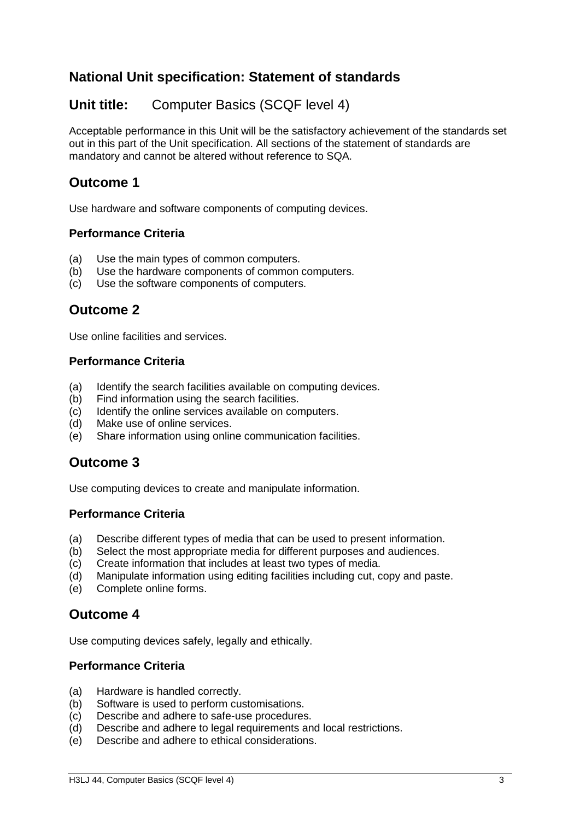# **National Unit specification: Statement of standards**

## **Unit title:** Computer Basics (SCQF level 4)

Acceptable performance in this Unit will be the satisfactory achievement of the standards set out in this part of the Unit specification. All sections of the statement of standards are mandatory and cannot be altered without reference to SQA.

## **Outcome 1**

Use hardware and software components of computing devices.

#### **Performance Criteria**

- (a) Use the main types of common computers.
- (b) Use the hardware components of common computers.
- (c) Use the software components of computers.

### **Outcome 2**

Use online facilities and services.

#### **Performance Criteria**

- (a) Identify the search facilities available on computing devices.
- (b) Find information using the search facilities.
- (c) Identify the online services available on computers.
- (d) Make use of online services.
- (e) Share information using online communication facilities.

### **Outcome 3**

Use computing devices to create and manipulate information.

#### **Performance Criteria**

- (a) Describe different types of media that can be used to present information.
- (b) Select the most appropriate media for different purposes and audiences.
- (c) Create information that includes at least two types of media.
- (d) Manipulate information using editing facilities including cut, copy and paste.
- (e) Complete online forms.

### **Outcome 4**

Use computing devices safely, legally and ethically.

#### **Performance Criteria**

- (a) Hardware is handled correctly.
- (b) Software is used to perform customisations.
- (c) Describe and adhere to safe-use procedures.
- (d) Describe and adhere to legal requirements and local restrictions.
- (e) Describe and adhere to ethical considerations.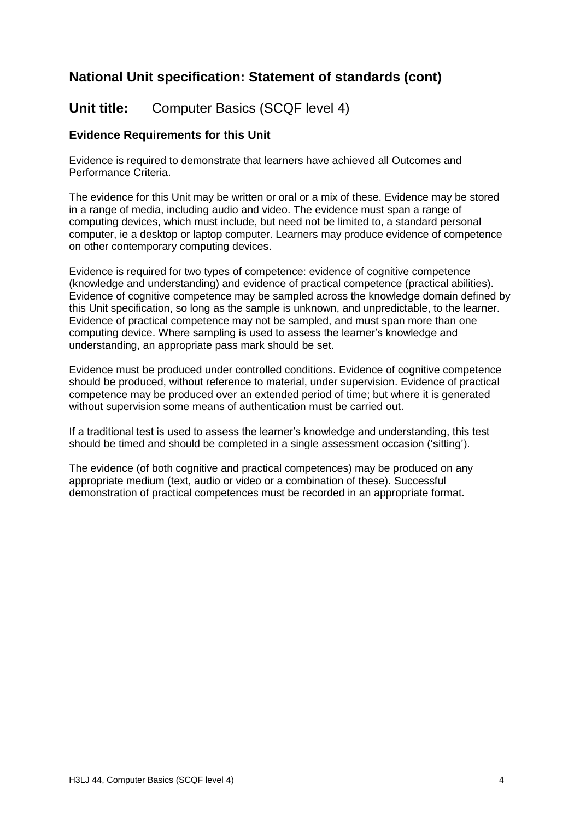# **National Unit specification: Statement of standards (cont)**

**Unit title:** Computer Basics (SCQF level 4)

#### **Evidence Requirements for this Unit**

Evidence is required to demonstrate that learners have achieved all Outcomes and Performance Criteria.

The evidence for this Unit may be written or oral or a mix of these. Evidence may be stored in a range of media, including audio and video. The evidence must span a range of computing devices, which must include, but need not be limited to, a standard personal computer, ie a desktop or laptop computer. Learners may produce evidence of competence on other contemporary computing devices.

Evidence is required for two types of competence: evidence of cognitive competence (knowledge and understanding) and evidence of practical competence (practical abilities). Evidence of cognitive competence may be sampled across the knowledge domain defined by this Unit specification, so long as the sample is unknown, and unpredictable, to the learner. Evidence of practical competence may not be sampled, and must span more than one computing device. Where sampling is used to assess the learner's knowledge and understanding, an appropriate pass mark should be set.

Evidence must be produced under controlled conditions. Evidence of cognitive competence should be produced, without reference to material, under supervision. Evidence of practical competence may be produced over an extended period of time; but where it is generated without supervision some means of authentication must be carried out.

If a traditional test is used to assess the learner's knowledge and understanding, this test should be timed and should be completed in a single assessment occasion ('sitting').

The evidence (of both cognitive and practical competences) may be produced on any appropriate medium (text, audio or video or a combination of these). Successful demonstration of practical competences must be recorded in an appropriate format.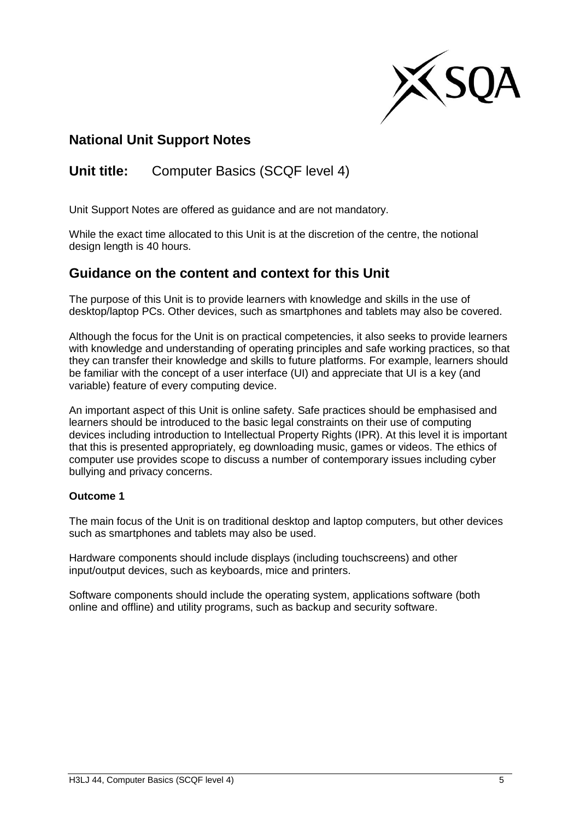

## **National Unit Support Notes**

# **Unit title:** Computer Basics (SCQF level 4)

Unit Support Notes are offered as guidance and are not mandatory.

While the exact time allocated to this Unit is at the discretion of the centre, the notional design length is 40 hours.

### **Guidance on the content and context for this Unit**

The purpose of this Unit is to provide learners with knowledge and skills in the use of desktop/laptop PCs. Other devices, such as smartphones and tablets may also be covered.

Although the focus for the Unit is on practical competencies, it also seeks to provide learners with knowledge and understanding of operating principles and safe working practices, so that they can transfer their knowledge and skills to future platforms. For example, learners should be familiar with the concept of a user interface (UI) and appreciate that UI is a key (and variable) feature of every computing device.

An important aspect of this Unit is online safety. Safe practices should be emphasised and learners should be introduced to the basic legal constraints on their use of computing devices including introduction to Intellectual Property Rights (IPR). At this level it is important that this is presented appropriately, eg downloading music, games or videos. The ethics of computer use provides scope to discuss a number of contemporary issues including cyber bullying and privacy concerns.

#### **Outcome 1**

The main focus of the Unit is on traditional desktop and laptop computers, but other devices such as smartphones and tablets may also be used.

Hardware components should include displays (including touchscreens) and other input/output devices, such as keyboards, mice and printers.

Software components should include the operating system, applications software (both online and offline) and utility programs, such as backup and security software.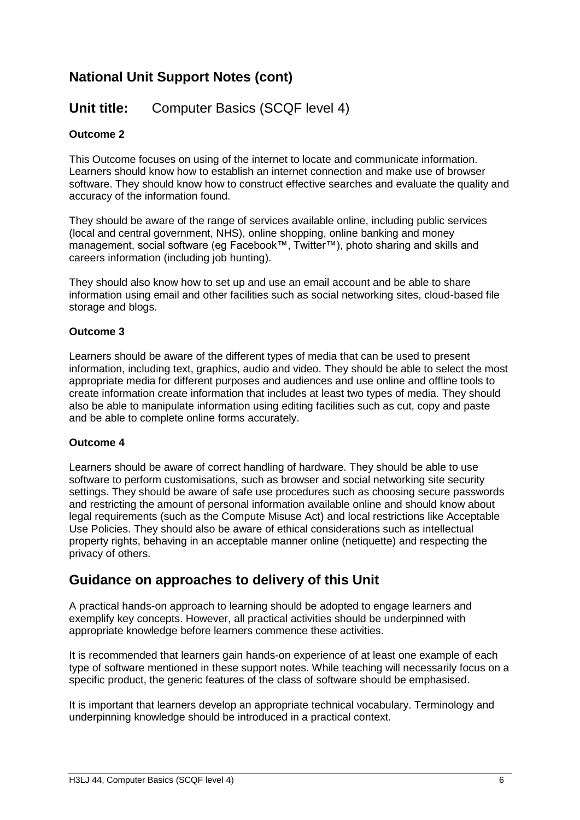# **National Unit Support Notes (cont)**

## **Unit title:** Computer Basics (SCQF level 4)

#### **Outcome 2**

This Outcome focuses on using of the internet to locate and communicate information. Learners should know how to establish an internet connection and make use of browser software. They should know how to construct effective searches and evaluate the quality and accuracy of the information found.

They should be aware of the range of services available online, including public services (local and central government, NHS), online shopping, online banking and money management, social software (eg Facebook™, Twitter™), photo sharing and skills and careers information (including job hunting).

They should also know how to set up and use an email account and be able to share information using email and other facilities such as social networking sites, cloud-based file storage and blogs.

#### **Outcome 3**

Learners should be aware of the different types of media that can be used to present information, including text, graphics, audio and video. They should be able to select the most appropriate media for different purposes and audiences and use online and offline tools to create information create information that includes at least two types of media. They should also be able to manipulate information using editing facilities such as cut, copy and paste and be able to complete online forms accurately.

#### **Outcome 4**

Learners should be aware of correct handling of hardware. They should be able to use software to perform customisations, such as browser and social networking site security settings. They should be aware of safe use procedures such as choosing secure passwords and restricting the amount of personal information available online and should know about legal requirements (such as the Compute Misuse Act) and local restrictions like Acceptable Use Policies. They should also be aware of ethical considerations such as intellectual property rights, behaving in an acceptable manner online (netiquette) and respecting the privacy of others.

### **Guidance on approaches to delivery of this Unit**

A practical hands-on approach to learning should be adopted to engage learners and exemplify key concepts. However, all practical activities should be underpinned with appropriate knowledge before learners commence these activities.

It is recommended that learners gain hands-on experience of at least one example of each type of software mentioned in these support notes. While teaching will necessarily focus on a specific product, the generic features of the class of software should be emphasised.

It is important that learners develop an appropriate technical vocabulary. Terminology and underpinning knowledge should be introduced in a practical context.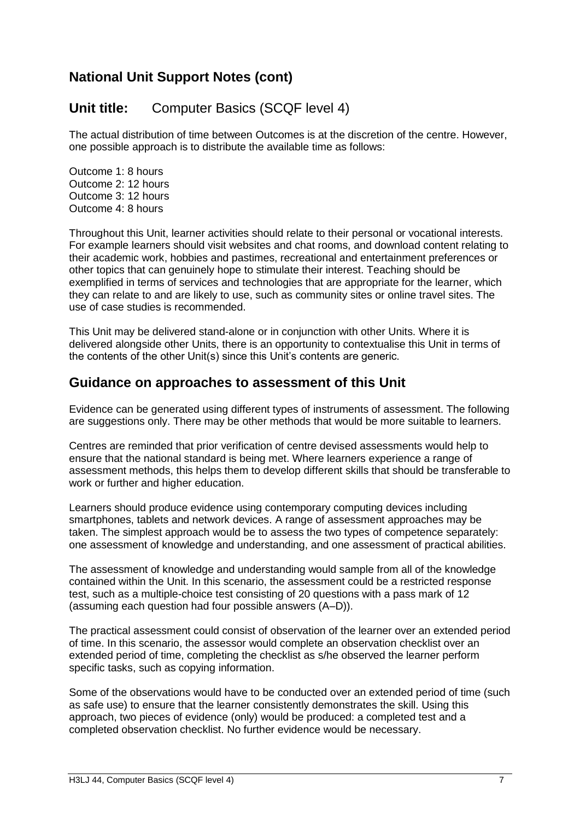# **National Unit Support Notes (cont)**

## **Unit title:** Computer Basics (SCQF level 4)

The actual distribution of time between Outcomes is at the discretion of the centre. However, one possible approach is to distribute the available time as follows:

Outcome 1: 8 hours Outcome 2: 12 hours Outcome 3: 12 hours Outcome 4: 8 hours

Throughout this Unit, learner activities should relate to their personal or vocational interests. For example learners should visit websites and chat rooms, and download content relating to their academic work, hobbies and pastimes, recreational and entertainment preferences or other topics that can genuinely hope to stimulate their interest. Teaching should be exemplified in terms of services and technologies that are appropriate for the learner, which they can relate to and are likely to use, such as community sites or online travel sites. The use of case studies is recommended.

This Unit may be delivered stand-alone or in conjunction with other Units. Where it is delivered alongside other Units, there is an opportunity to contextualise this Unit in terms of the contents of the other Unit(s) since this Unit's contents are generic.

#### **Guidance on approaches to assessment of this Unit**

Evidence can be generated using different types of instruments of assessment. The following are suggestions only. There may be other methods that would be more suitable to learners.

Centres are reminded that prior verification of centre devised assessments would help to ensure that the national standard is being met. Where learners experience a range of assessment methods, this helps them to develop different skills that should be transferable to work or further and higher education.

Learners should produce evidence using contemporary computing devices including smartphones, tablets and network devices. A range of assessment approaches may be taken. The simplest approach would be to assess the two types of competence separately: one assessment of knowledge and understanding, and one assessment of practical abilities.

The assessment of knowledge and understanding would sample from all of the knowledge contained within the Unit. In this scenario, the assessment could be a restricted response test, such as a multiple-choice test consisting of 20 questions with a pass mark of 12 (assuming each question had four possible answers (A–D)).

The practical assessment could consist of observation of the learner over an extended period of time. In this scenario, the assessor would complete an observation checklist over an extended period of time, completing the checklist as s/he observed the learner perform specific tasks, such as copying information.

Some of the observations would have to be conducted over an extended period of time (such as safe use) to ensure that the learner consistently demonstrates the skill. Using this approach, two pieces of evidence (only) would be produced: a completed test and a completed observation checklist. No further evidence would be necessary.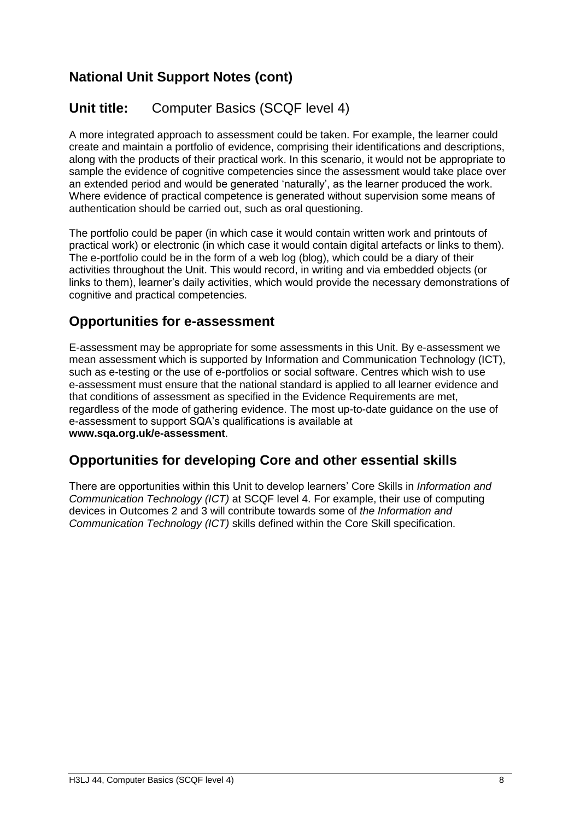# **National Unit Support Notes (cont)**

# **Unit title:** Computer Basics (SCQF level 4)

A more integrated approach to assessment could be taken. For example, the learner could create and maintain a portfolio of evidence, comprising their identifications and descriptions, along with the products of their practical work. In this scenario, it would not be appropriate to sample the evidence of cognitive competencies since the assessment would take place over an extended period and would be generated 'naturally', as the learner produced the work. Where evidence of practical competence is generated without supervision some means of authentication should be carried out, such as oral questioning.

The portfolio could be paper (in which case it would contain written work and printouts of practical work) or electronic (in which case it would contain digital artefacts or links to them). The e-portfolio could be in the form of a web log (blog), which could be a diary of their activities throughout the Unit. This would record, in writing and via embedded objects (or links to them), learner's daily activities, which would provide the necessary demonstrations of cognitive and practical competencies.

### **Opportunities for e-assessment**

E-assessment may be appropriate for some assessments in this Unit. By e-assessment we mean assessment which is supported by Information and Communication Technology (ICT), such as e-testing or the use of e-portfolios or social software. Centres which wish to use e-assessment must ensure that the national standard is applied to all learner evidence and that conditions of assessment as specified in the Evidence Requirements are met, regardless of the mode of gathering evidence. The most up-to-date guidance on the use of e-assessment to support SQA's qualifications is available at **www.sqa.org.uk/e-assessment**.

## **Opportunities for developing Core and other essential skills**

There are opportunities within this Unit to develop learners' Core Skills in *Information and Communication Technology (ICT)* at SCQF level 4. For example, their use of computing devices in Outcomes 2 and 3 will contribute towards some of *the Information and Communication Technology (ICT)* skills defined within the Core Skill specification.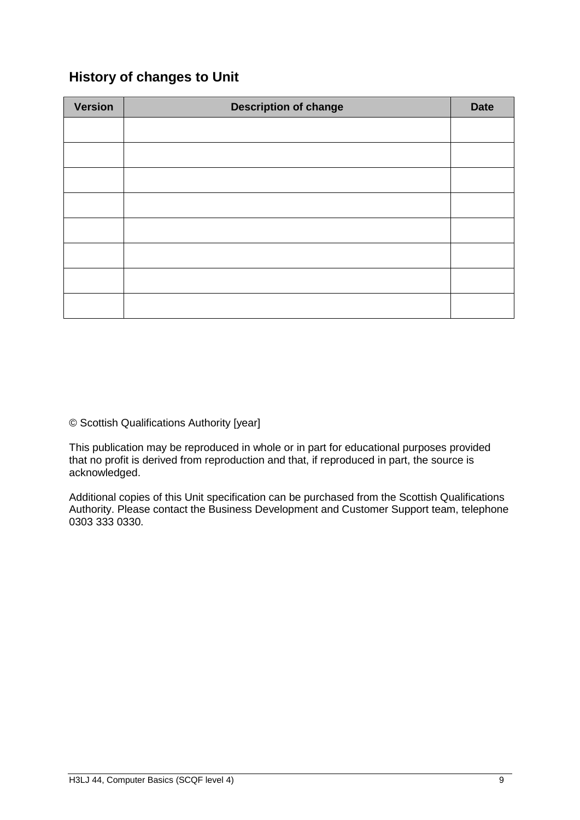# **History of changes to Unit**

| <b>Version</b> | <b>Description of change</b> | <b>Date</b> |
|----------------|------------------------------|-------------|
|                |                              |             |
|                |                              |             |
|                |                              |             |
|                |                              |             |
|                |                              |             |
|                |                              |             |
|                |                              |             |
|                |                              |             |

© Scottish Qualifications Authority [year]

This publication may be reproduced in whole or in part for educational purposes provided that no profit is derived from reproduction and that, if reproduced in part, the source is acknowledged.

Additional copies of this Unit specification can be purchased from the Scottish Qualifications Authority. Please contact the Business Development and Customer Support team, telephone 0303 333 0330.